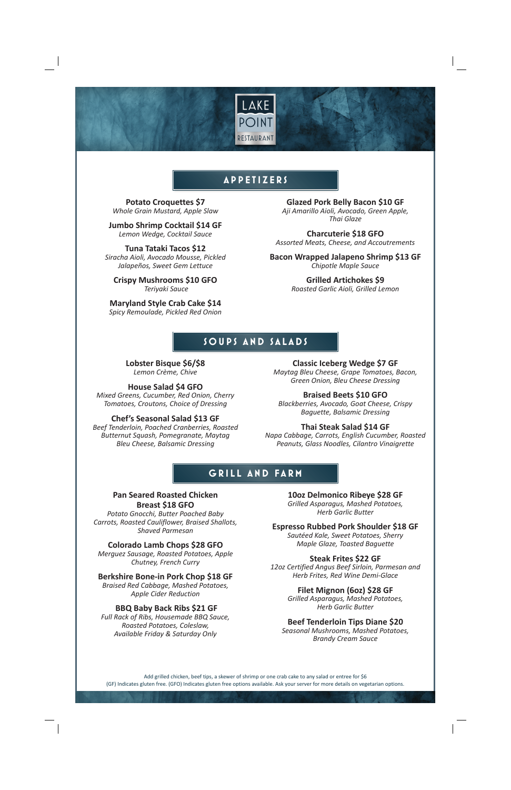

# **APPETIZERS**

**Potato Croquettes \$7** *Whole Grain Mustard, Apple Slaw*

**Jumbo Shrimp Cocktail \$14 GF** *Lemon Wedge, Cocktail Sauce* 

**Tuna Tataki Tacos \$12** *Siracha Aioli, Avocado Mousse, Pickled Jalapeños, Sweet Gem Lettuce*

**Crispy Mushrooms \$10 GFO**  *Teriyaki Sauce* 

**Maryland Style Crab Cake \$14** *Spicy Remoulade, Pickled Red Onion* 

**Glazed Pork Belly Bacon \$10 GF** *Aji Amarillo Aioli, Avocado, Green Apple, Thai Glaze* 

**Charcuterie \$18 GFO** *Assorted Meats, Cheese, and Accoutrements* 

**Bacon Wrapped Jalapeno Shrimp \$13 GF** *Chipotle Maple Sauce*

> **Grilled Artichokes \$9** *Roasted Garlic Aioli, Grilled Lemon*

## **SOUPS AND SALADS**

**Lobster Bisque \$6/\$8** *Lemon Crème, Chive*

#### **House Salad \$4 GFO**

*Mixed Greens, Cucumber, Red Onion, Cherry Tomatoes, Croutons, Choice of Dressing*

**Chef's Seasonal Salad \$13 GF** *Beef Tenderloin, Poached Cranberries, Roasted Butternut Squash, Pomegranate, Maytag Bleu Cheese, Balsamic Dressing* 

**Classic Iceberg Wedge \$7 GF** *Maytag Bleu Cheese, Grape Tomatoes, Bacon, Green Onion, Bleu Cheese Dressing* 

**Braised Beets \$10 GFO** *Blackberries, Avocado, Goat Cheese, Crispy Baguette, Balsamic Dressing*

### **Thai Steak Salad \$14 GF**

*Napa Cabbage, Carrots, English Cucumber, Roasted Peanuts, Glass Noodles, Cilantro Vinaigrette* 

# **GRILL AND FARM**

### **Pan Seared Roasted Chicken Breast \$18 GFO**

*Potato Gnocchi, Butter Poached Baby Carrots, Roasted Cauliflower, Braised Shallots, Shaved Parmesan* 

**Colorado Lamb Chops \$28 GFO** 

*Merguez Sausage, Roasted Potatoes, Apple Chutney, French Curry* 

**Berkshire Bone-in Pork Chop \$18 GF**

*Braised Red Cabbage, Mashed Potatoes, Apple Cider Reduction* 

#### **BBQ Baby Back Ribs \$21 GF**

*Full Rack of Ribs, Housemade BBQ Sauce, Roasted Potatoes, Coleslaw, Available Friday & Saturday Only*

**10oz Delmonico Ribeye \$28 GF**

*Grilled Asparagus, Mashed Potatoes, Herb Garlic Butter* 

**Espresso Rubbed Pork Shoulder \$18 GF** 

*Sautéed Kale, Sweet Potatoes, Sherry Maple Glaze, Toasted Baguette* 

### **Steak Frites \$22 GF**

*12oz Certified Angus Beef Sirloin, Parmesan and Herb Frites, Red Wine Demi-Glace*

> **Filet Mignon (6oz) \$28 GF** *Grilled Asparagus, Mashed Potatoes, Herb Garlic Butter*

### **Beef Tenderloin Tips Diane \$20**

*Seasonal Mushrooms, Mashed Potatoes, Brandy Cream Sauce* 

Add grilled chicken, beef tips, a skewer of shrimp or one crab cake to any salad or entree for \$6 (GF) Indicates gluten free. (GFO) Indicates gluten free options available. Ask your server for more details on vegetarian options.